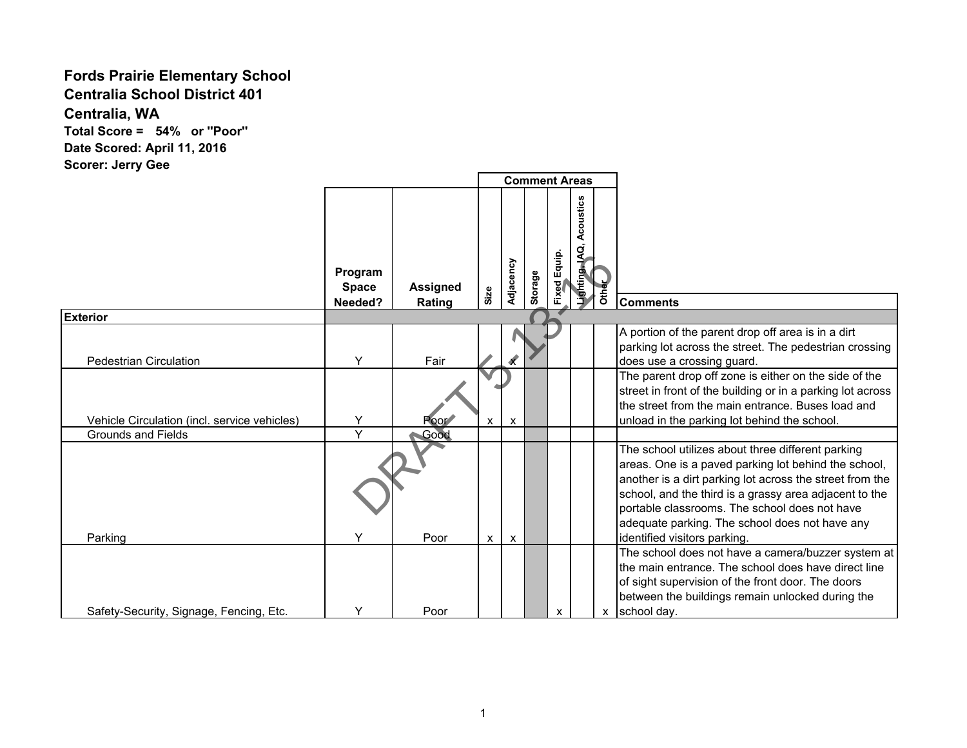## **Fords Prairie Elementary School**

**Centralia School District 401**

**Centralia, WA**

**Total Score = 54% or ''Poor'' Date Scored: April 11, 2016 Scorer: Jerry Gee**

|                                              |                                    |                           |              |              |         |              | <b>Comment Areas</b>        |       |                                                                                                                                                                                                                                                                                                                                                                    |
|----------------------------------------------|------------------------------------|---------------------------|--------------|--------------|---------|--------------|-----------------------------|-------|--------------------------------------------------------------------------------------------------------------------------------------------------------------------------------------------------------------------------------------------------------------------------------------------------------------------------------------------------------------------|
|                                              | Program<br><b>Space</b><br>Needed? | <b>Assigned</b><br>Rating | Size         | Adjacency    | Storage | Fixed Equip. | Acoustics<br>Lighting, IAQ, | Other | <b>Comments</b>                                                                                                                                                                                                                                                                                                                                                    |
| <b>Exterior</b>                              |                                    |                           |              |              |         |              |                             |       |                                                                                                                                                                                                                                                                                                                                                                    |
| <b>Pedestrian Circulation</b>                | Y                                  | Fair                      |              |              |         |              |                             |       | A portion of the parent drop off area is in a dirt<br>parking lot across the street. The pedestrian crossing<br>does use a crossing guard.                                                                                                                                                                                                                         |
| Vehicle Circulation (incl. service vehicles) | Y                                  | Poor <sup>*</sup>         | $\mathsf{x}$ | $\mathsf{x}$ |         |              |                             |       | The parent drop off zone is either on the side of the<br>street in front of the building or in a parking lot across<br>the street from the main entrance. Buses load and<br>unload in the parking lot behind the school.                                                                                                                                           |
| <b>Grounds and Fields</b>                    | Y                                  | Good                      |              |              |         |              |                             |       |                                                                                                                                                                                                                                                                                                                                                                    |
| Parking                                      | Y                                  | Poor                      | <b>X</b>     | $\mathsf{x}$ |         |              |                             |       | The school utilizes about three different parking<br>areas. One is a paved parking lot behind the school,<br>another is a dirt parking lot across the street from the<br>school, and the third is a grassy area adjacent to the<br>portable classrooms. The school does not have<br>adequate parking. The school does not have any<br>identified visitors parking. |
| Safety-Security, Signage, Fencing, Etc.      | Υ                                  | Poor                      |              |              |         | X            |                             | X     | The school does not have a camera/buzzer system at<br>the main entrance. The school does have direct line<br>of sight supervision of the front door. The doors<br>between the buildings remain unlocked during the<br>school day.                                                                                                                                  |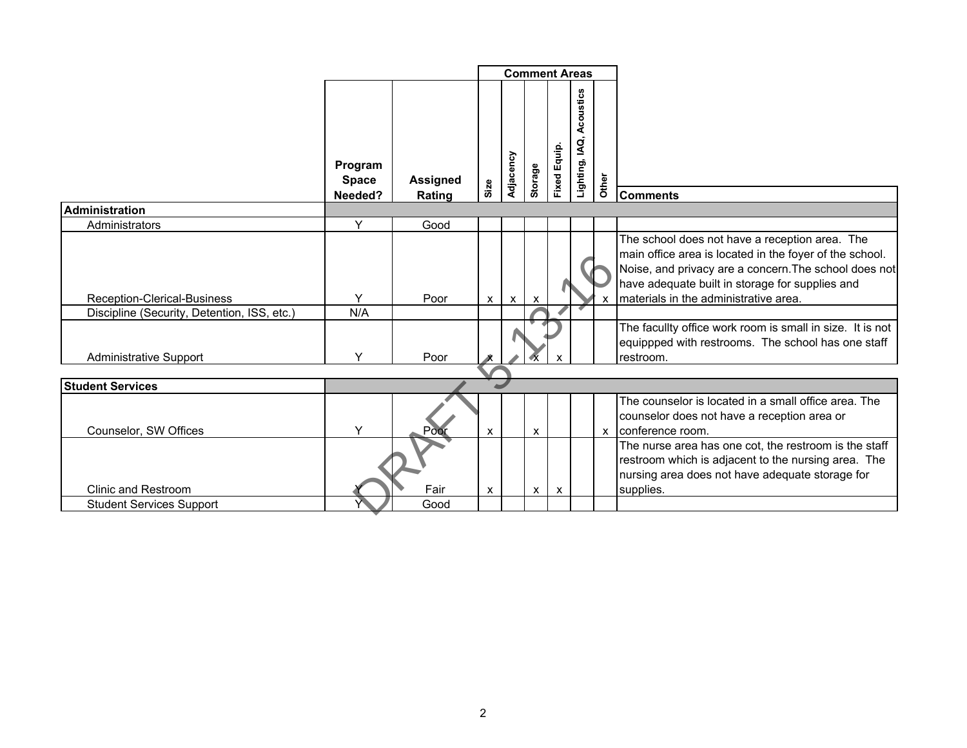|                                             |                                    |                           |      |              |                           |                     | <b>Comment Areas</b>        |              |                                                                                                                                                                                                                                                                |
|---------------------------------------------|------------------------------------|---------------------------|------|--------------|---------------------------|---------------------|-----------------------------|--------------|----------------------------------------------------------------------------------------------------------------------------------------------------------------------------------------------------------------------------------------------------------------|
|                                             | Program<br><b>Space</b><br>Needed? | <b>Assigned</b><br>Rating | Size | Adjacency    | Storage                   | <b>Fixed Equip.</b> | Acoustics<br>Lighting, IAQ, | Other        | <b>Comments</b>                                                                                                                                                                                                                                                |
| <b>Administration</b>                       |                                    |                           |      |              |                           |                     |                             |              |                                                                                                                                                                                                                                                                |
| Administrators                              | Y                                  | Good                      |      |              |                           |                     |                             |              |                                                                                                                                                                                                                                                                |
| Reception-Clerical-Business                 | Y                                  | Poor                      | X    | $\mathsf{x}$ | $\boldsymbol{\mathsf{x}}$ |                     |                             |              | The school does not have a reception area. The<br>main office area is located in the foyer of the school.<br>Noise, and privacy are a concern. The school does not<br>have adequate built in storage for supplies and<br>materials in the administrative area. |
| Discipline (Security, Detention, ISS, etc.) | N/A                                |                           |      |              |                           |                     |                             |              |                                                                                                                                                                                                                                                                |
| <b>Administrative Support</b>               | Y                                  | Poor                      |      |              |                           |                     |                             |              | The facullty office work room is small in size. It is not<br>equippped with restrooms. The school has one staff<br>restroom.                                                                                                                                   |
|                                             |                                    |                           |      |              |                           |                     |                             |              |                                                                                                                                                                                                                                                                |
| <b>Student Services</b>                     |                                    |                           |      |              |                           |                     |                             |              |                                                                                                                                                                                                                                                                |
| Counselor, SW Offices                       | Y                                  | Poor                      | X    |              | X                         |                     |                             | $\mathsf{x}$ | The counselor is located in a small office area. The<br>counselor does not have a reception area or<br>conference room.                                                                                                                                        |
| <b>Clinic and Restroom</b>                  |                                    | Fair                      | X    |              | $\mathsf{x}$              | $\mathsf{x}$        |                             |              | The nurse area has one cot, the restroom is the staff<br>restroom which is adjacent to the nursing area. The<br>nursing area does not have adequate storage for<br>supplies.                                                                                   |
| <b>Student Services Support</b>             |                                    | Good                      |      |              |                           |                     |                             |              |                                                                                                                                                                                                                                                                |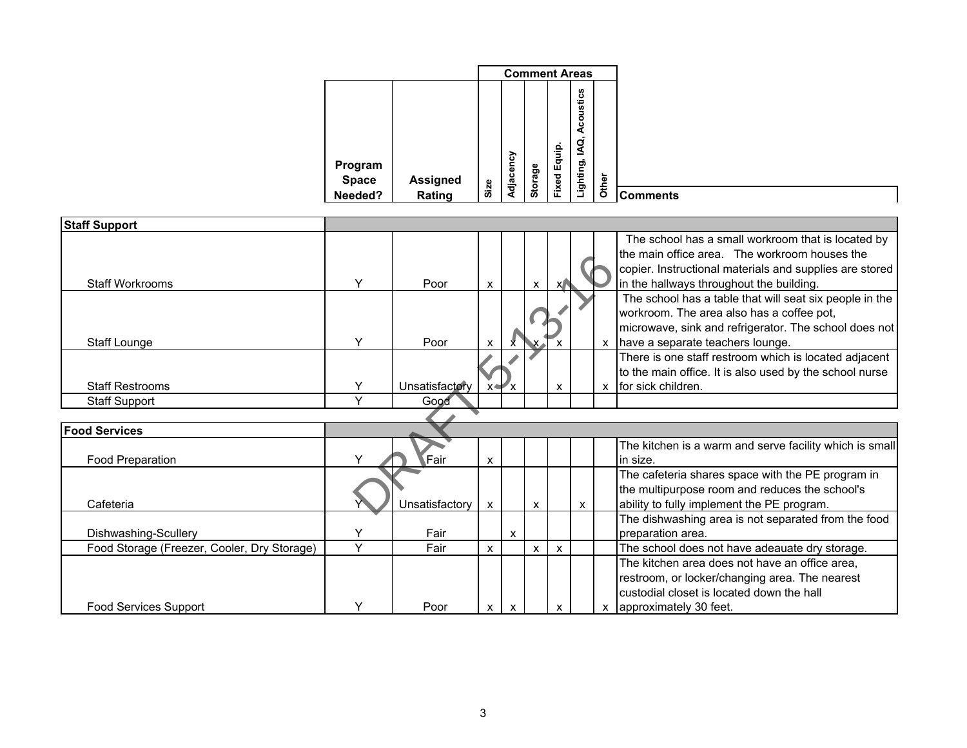|                         |                 |           |         | <b>Comment Areas</b> |                                        |       |  |
|-------------------------|-----------------|-----------|---------|----------------------|----------------------------------------|-------|--|
| Program<br><b>Space</b> | <b>Assigned</b> |           |         | Equip.               | Acoustics<br>$\blacksquare$<br>Q<br>AQ |       |  |
| Needed?                 | Size<br>Rating  | Adjacency | Storage | Fixed                | Lighting,                              | Other |  |

| <b>Staff Support</b>                        |              |                |              |                           |                           |                           |   |              |                                                                                                                                                                                                            |
|---------------------------------------------|--------------|----------------|--------------|---------------------------|---------------------------|---------------------------|---|--------------|------------------------------------------------------------------------------------------------------------------------------------------------------------------------------------------------------------|
| <b>Staff Workrooms</b>                      | Y            | Poor           | X            |                           | X                         | X                         |   |              | The school has a small workroom that is located by<br>the main office area. The workroom houses the<br>copier. Instructional materials and supplies are stored<br>in the hallways throughout the building. |
| Staff Lounge                                | Υ            | Poor           | X            | x                         |                           |                           |   | $\mathbf{x}$ | The school has a table that will seat six people in the<br>workroom. The area also has a coffee pot,<br>microwave, sink and refrigerator. The school does not<br>have a separate teachers lounge.          |
| <b>Staff Restrooms</b>                      | Υ            | Unsatisfactory |              | $x \rightarrow x$         |                           | X                         |   | X            | There is one staff restroom which is located adjacent<br>to the main office. It is also used by the school nurse<br>for sick children.                                                                     |
| <b>Staff Support</b>                        | $\checkmark$ | Good           |              |                           |                           |                           |   |              |                                                                                                                                                                                                            |
|                                             |              |                |              |                           |                           |                           |   |              |                                                                                                                                                                                                            |
| <b>Food Services</b>                        |              |                |              |                           |                           |                           |   |              |                                                                                                                                                                                                            |
| Food Preparation                            |              | Fair           | X            |                           |                           |                           |   |              | The kitchen is a warm and serve facility which is small<br>in size.                                                                                                                                        |
| Cafeteria                                   |              | Unsatisfactory | $\pmb{\chi}$ |                           | $\boldsymbol{\mathsf{x}}$ |                           | X |              | The cafeteria shares space with the PE program in<br>the multipurpose room and reduces the school's<br>ability to fully implement the PE program.                                                          |
| Dishwashing-Scullery                        | $\checkmark$ | Fair           |              | $\boldsymbol{\mathsf{x}}$ |                           |                           |   |              | The dishwashing area is not separated from the food<br>preparation area.                                                                                                                                   |
| Food Storage (Freezer, Cooler, Dry Storage) | Y            | Fair           | X            |                           | $\boldsymbol{\mathsf{x}}$ | $\boldsymbol{\mathsf{x}}$ |   |              | The school does not have adeauate dry storage.                                                                                                                                                             |
| <b>Food Services Support</b>                | ٧            | Poor           |              |                           |                           |                           |   |              | The kitchen area does not have an office area,<br>restroom, or locker/changing area. The nearest<br>custodial closet is located down the hall<br>approximately 30 feet.                                    |
|                                             |              |                | х            | х                         |                           | x                         |   |              |                                                                                                                                                                                                            |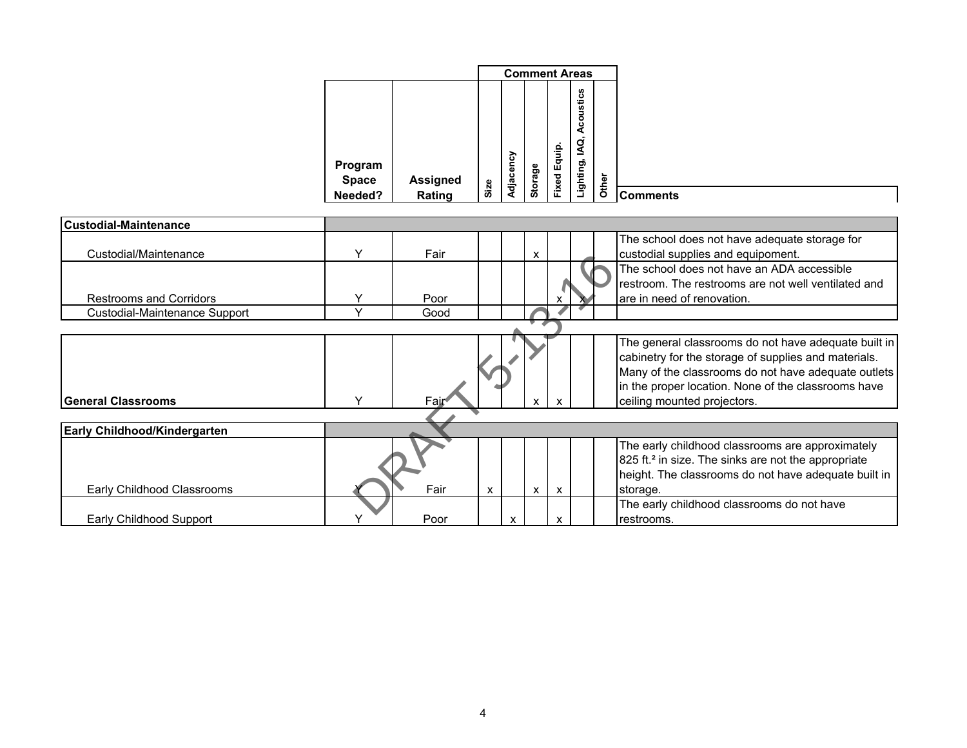|                         |                 |      |              |         |           | <b>Comment Areas</b> |                          |
|-------------------------|-----------------|------|--------------|---------|-----------|----------------------|--------------------------|
|                         |                 |      |              |         | $\bullet$ | Acoustics<br>₫,      |                          |
| Program<br><b>Space</b> | <b>Assigned</b> |      | ৡ<br>Adjacen | Storage | Equip.    | Lighting,            |                          |
| Needed?                 | Rating          | Size |              |         | Fixed     |                      | Other<br><b>Comments</b> |

| <b>ICustodial-Maintenance</b>       |      |   |   |              |   |                                                                                                                                                                                                                                                           |
|-------------------------------------|------|---|---|--------------|---|-----------------------------------------------------------------------------------------------------------------------------------------------------------------------------------------------------------------------------------------------------------|
| Custodial/Maintenance               | Fair |   |   | X            |   | The school does not have adequate storage for<br>custodial supplies and equipoment.                                                                                                                                                                       |
| <b>Restrooms and Corridors</b>      | Poor |   |   |              |   | The school does not have an ADA accessible<br>restroom. The restrooms are not well ventilated and<br>are in need of renovation.                                                                                                                           |
| Custodial-Maintenance Support       | Good |   |   |              |   |                                                                                                                                                                                                                                                           |
|                                     |      |   |   |              |   |                                                                                                                                                                                                                                                           |
| <b>General Classrooms</b>           | Fair |   |   | $\mathsf{x}$ |   | The general classrooms do not have adequate built in<br>cabinetry for the storage of supplies and materials.<br>Many of the classrooms do not have adequate outlets<br>in the proper location. None of the classrooms have<br>ceiling mounted projectors. |
|                                     |      |   |   |              |   |                                                                                                                                                                                                                                                           |
| <b>Early Childhood/Kindergarten</b> |      |   |   |              |   |                                                                                                                                                                                                                                                           |
| Early Childhood Classrooms          | Fair | X |   | $\mathsf{x}$ | X | The early childhood classrooms are approximately<br>825 ft. <sup>2</sup> in size. The sinks are not the appropriate<br>height. The classrooms do not have adequate built in<br>storage.                                                                   |
| Early Childhood Support             | Poor |   | x |              | x | The early childhood classrooms do not have<br>restrooms.                                                                                                                                                                                                  |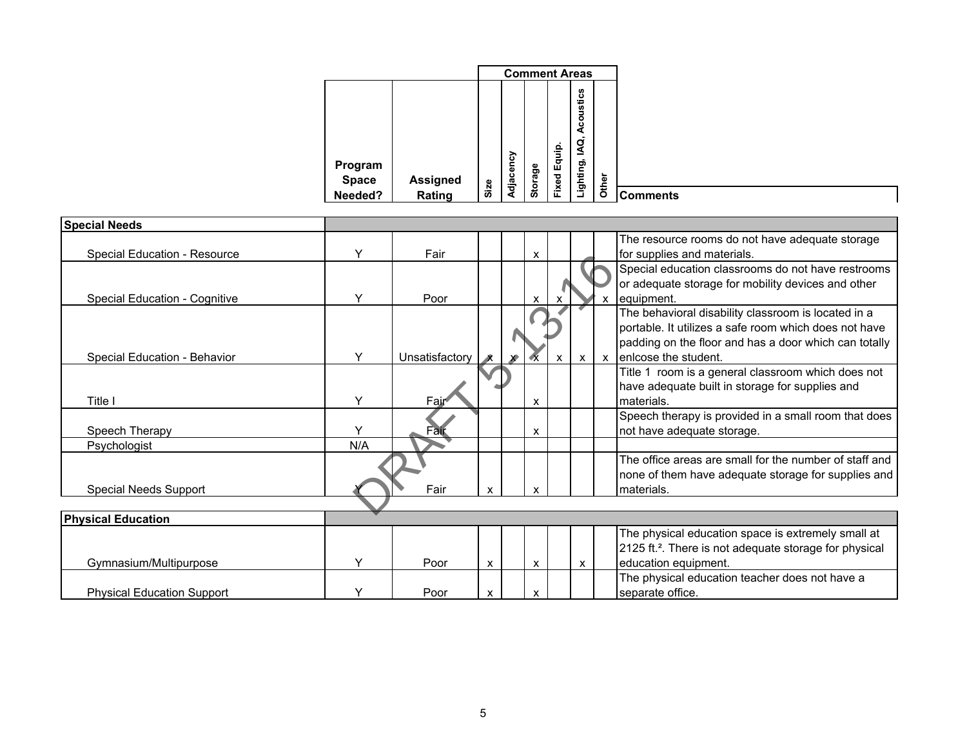|       |                                                            | <b>Comment Areas</b> |         |           |      |                           |                         |
|-------|------------------------------------------------------------|----------------------|---------|-----------|------|---------------------------|-------------------------|
|       | Acoustics<br>ΙAΩ,<br>$\overline{\phantom{a}}$<br>Lighting, | Equip.               |         | Adjacency |      |                           | Program                 |
| Other |                                                            | Fixed                | Storage |           | Size | <b>Assigned</b><br>Rating | <b>Space</b><br>Needed? |

| <b>Special Needs</b>              |              |                |   |   |                           |                           |              |                                                                    |
|-----------------------------------|--------------|----------------|---|---|---------------------------|---------------------------|--------------|--------------------------------------------------------------------|
|                                   |              |                |   |   |                           |                           |              | The resource rooms do not have adequate storage                    |
| Special Education - Resource      | $\checkmark$ | Fair           |   | X |                           |                           |              | for supplies and materials.                                        |
|                                   |              |                |   |   |                           |                           |              | Special education classrooms do not have restrooms                 |
|                                   |              |                |   |   |                           |                           |              | or adequate storage for mobility devices and other                 |
| Special Education - Cognitive     | Y            | Poor           |   | X |                           |                           |              | equipment.                                                         |
|                                   |              |                |   |   |                           |                           |              | The behavioral disability classroom is located in a                |
|                                   |              |                |   |   |                           |                           |              | portable. It utilizes a safe room which does not have              |
|                                   |              |                |   |   |                           |                           |              | padding on the floor and has a door which can totally              |
| Special Education - Behavior      | Y            | Unsatisfactory |   |   | $\boldsymbol{\mathsf{x}}$ | $\boldsymbol{\mathsf{x}}$ | $\mathsf{x}$ | enlcose the student.                                               |
|                                   |              |                |   |   |                           |                           |              | Title 1 room is a general classroom which does not                 |
|                                   |              |                |   |   |                           |                           |              | have adequate built in storage for supplies and                    |
| Title I                           | Y            | Fair           |   | X |                           |                           |              | materials.                                                         |
|                                   |              |                |   |   |                           |                           |              | Speech therapy is provided in a small room that does               |
| Speech Therapy                    | Y            | ⊦aīr           |   | X |                           |                           |              | not have adequate storage.                                         |
| Psychologist                      | N/A          |                |   |   |                           |                           |              |                                                                    |
|                                   |              |                |   |   |                           |                           |              | The office areas are small for the number of staff and             |
|                                   |              |                |   |   |                           |                           |              | none of them have adequate storage for supplies and                |
| <b>Special Needs Support</b>      |              | Fair           | X | X |                           |                           |              | materials.                                                         |
|                                   |              |                |   |   |                           |                           |              |                                                                    |
| <b>Physical Education</b>         |              |                |   |   |                           |                           |              |                                                                    |
|                                   |              |                |   |   |                           |                           |              | The physical education space is extremely small at                 |
|                                   |              |                |   |   |                           |                           |              | 2125 ft. <sup>2</sup> . There is not adequate storage for physical |
| Gymnasium/Multipurpose            | Υ            | Poor           | X | X |                           | X                         |              | education equipment.                                               |
|                                   |              |                |   |   |                           |                           |              | The physical education teacher does not have a                     |
| <b>Physical Education Support</b> |              | Poor           | X | X |                           |                           |              | separate office.                                                   |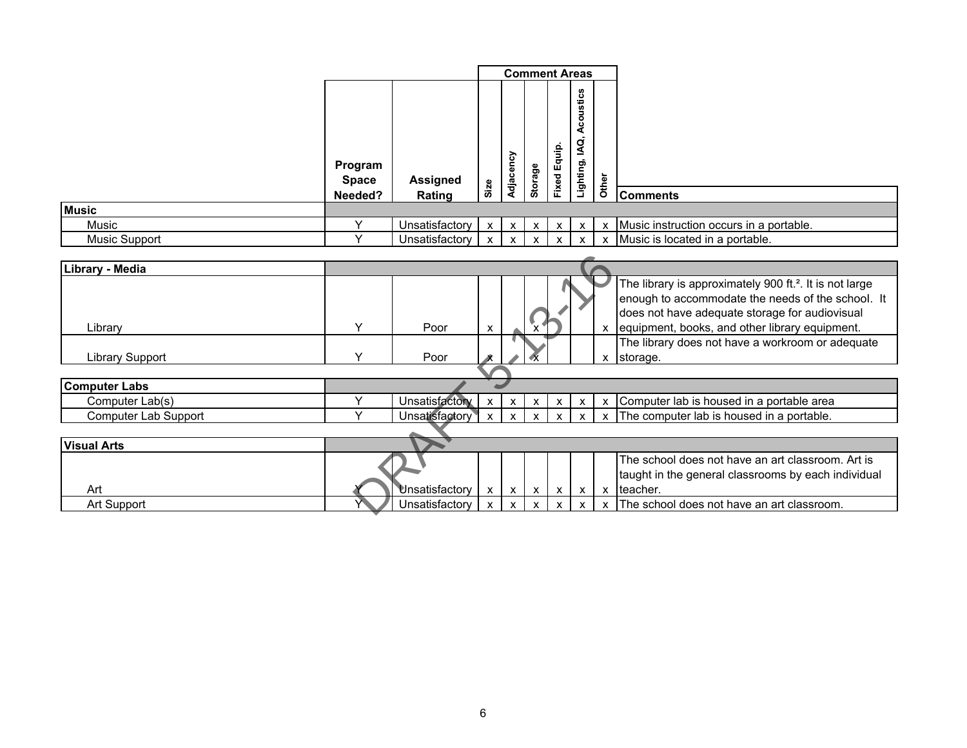|                      |                                    |                           |              |              |              |                     | <b>Comment Areas</b>         |       |                                                                  |
|----------------------|------------------------------------|---------------------------|--------------|--------------|--------------|---------------------|------------------------------|-------|------------------------------------------------------------------|
|                      | Program<br><b>Space</b><br>Needed? | <b>Assigned</b><br>Rating | Size         | Adjacency    | Storage      | <b>Fixed Equip.</b> | Acoustics<br>Q,<br>Lighting, | Other | <b>Comments</b>                                                  |
| <b>Music</b>         |                                    |                           |              |              |              |                     |                              |       |                                                                  |
| Music                |                                    | Unsatisfactory            | $\mathsf{x}$ | $\mathsf{x}$ | $\mathsf{x}$ | $\mathsf{x}$        | $\mathsf{X}$                 | X     | Music instruction occurs in a portable.                          |
| <b>Music Support</b> |                                    | Unsatisfactory            | $\mathsf{x}$ | $\mathsf{x}$ | $\mathsf{x}$ | $\mathsf{x}$        | $\mathsf{X}$                 | X     | Music is located in a portable.                                  |
| Library - Media      |                                    |                           |              |              |              |                     |                              |       | $\vert$ The library is annroximately 900 ft $^2$ It is not large |

| Library - Media        |              |                |   |              |                           |                           |              |              |                                                                     |
|------------------------|--------------|----------------|---|--------------|---------------------------|---------------------------|--------------|--------------|---------------------------------------------------------------------|
|                        |              |                |   |              |                           |                           |              |              | The library is approximately 900 ft. <sup>2</sup> . It is not large |
|                        |              |                |   |              |                           |                           |              |              | enough to accommodate the needs of the school. It                   |
|                        |              |                |   |              |                           |                           |              |              | does not have adequate storage for audiovisual                      |
| Library                | $\checkmark$ | Poor           | x |              |                           |                           |              |              | equipment, books, and other library equipment.                      |
|                        |              |                |   |              |                           |                           |              |              | The library does not have a workroom or adequate                    |
|                        |              |                |   |              |                           |                           |              |              |                                                                     |
| <b>Library Support</b> |              | Poor           |   |              |                           |                           |              | x            | storage.                                                            |
|                        |              |                |   |              |                           |                           |              |              |                                                                     |
| <b>Computer Labs</b>   |              |                |   |              |                           |                           |              |              |                                                                     |
| Computer Lab(s)        |              | Unsatisfactory | x | X            | X                         | x                         | x            | X            | Computer lab is housed in a portable area                           |
| Computer Lab Support   |              | Unsatisfactory | X | $\mathsf{x}$ | $\mathbf{x}$              | $\mathbf{x}$              | x            | x            | The computer lab is housed in a portable.                           |
|                        |              |                |   |              |                           |                           |              |              |                                                                     |
| <b>Visual Arts</b>     |              |                |   |              |                           |                           |              |              |                                                                     |
|                        |              |                |   |              |                           |                           |              |              | The school does not have an art classroom. Art is                   |
|                        |              |                |   |              |                           |                           |              |              | taught in the general classrooms by each individual                 |
| Art                    |              | Unsatisfactory | X | $\mathsf{x}$ | $\boldsymbol{\mathsf{x}}$ | $\boldsymbol{\mathsf{X}}$ | $\mathsf{x}$ | $\mathsf{x}$ | Iteacher.                                                           |
| Art Support            |              | Unsatisfactory |   |              |                           |                           |              |              | The school does not have an art classroom.                          |